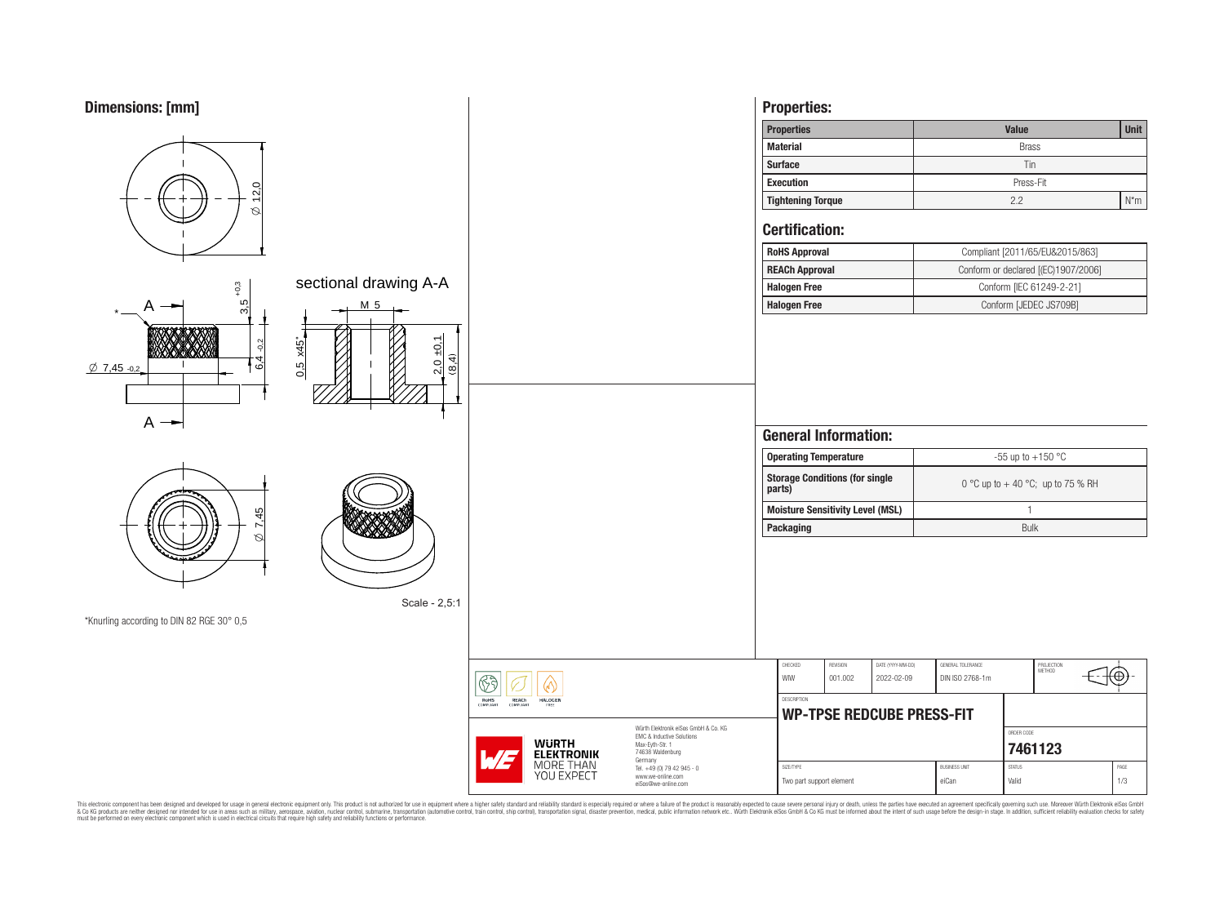# **Dimensions: [mm]**



This electronic component has been designed and developed for usage in general electronic equipment only. This product is not authorized for subserved requipment where a higher selection equipment where a higher selection

6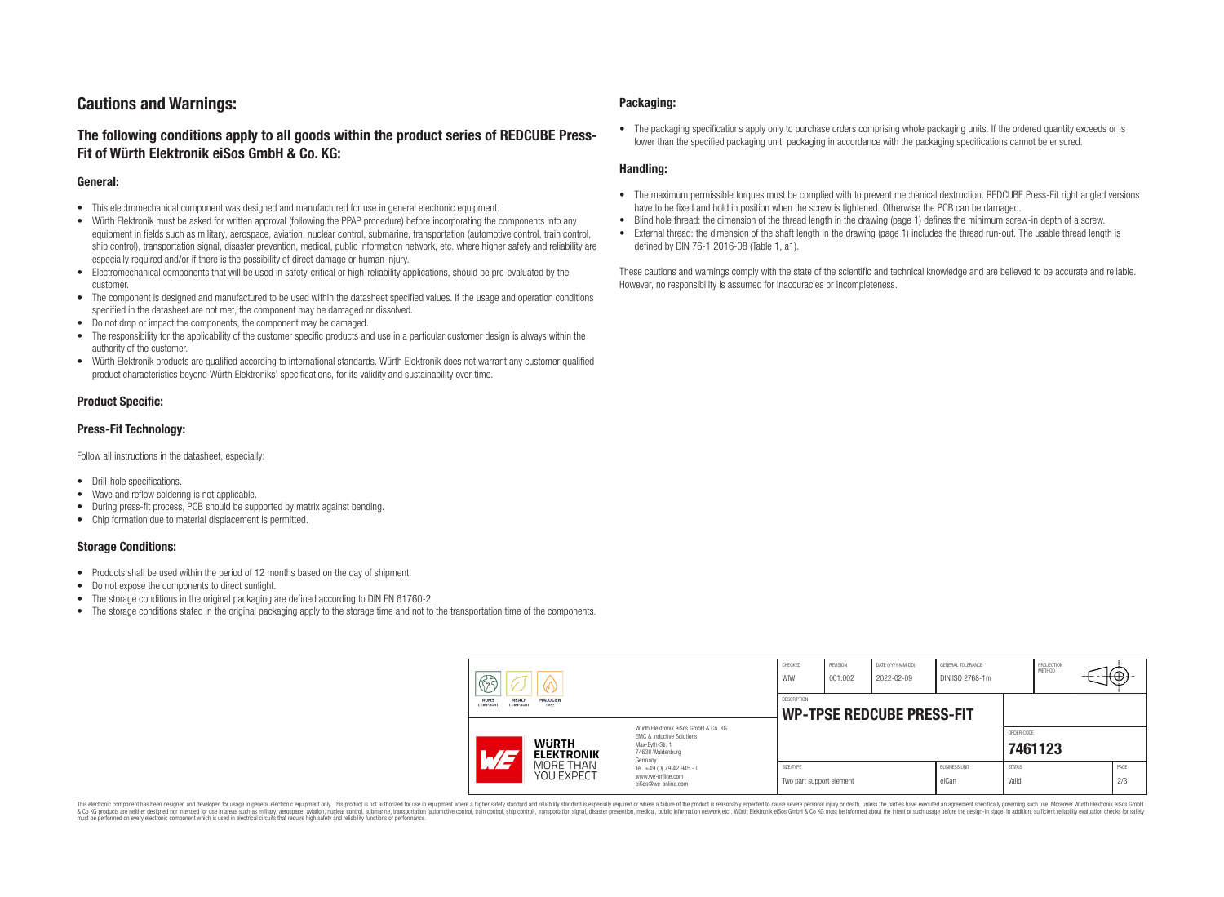# **Cautions and Warnings:**

## **The following conditions apply to all goods within the product series of REDCUBE Press-Fit of Würth Elektronik eiSos GmbH & Co. KG:**

#### **General:**

- This electromechanical component was designed and manufactured for use in general electronic equipment.
- Würth Elektronik must be asked for written approval (following the PPAP procedure) before incorporating the components into any equipment in fields such as military, aerospace, aviation, nuclear control, submarine, transportation (automotive control, train control, ship control), transportation signal, disaster prevention, medical, public information network, etc. where higher safety and reliability are especially required and/or if there is the possibility of direct damage or human injury.
- Electromechanical components that will be used in safety-critical or high-reliability applications, should be pre-evaluated by the customer.
- The component is designed and manufactured to be used within the datasheet specified values. If the usage and operation conditions specified in the datasheet are not met, the component may be damaged or dissolved.
- Do not drop or impact the components, the component may be damaged.
- The responsibility for the applicability of the customer specific products and use in a particular customer design is always within the authority of the customer.
- Würth Elektronik products are qualified according to international standards. Würth Elektronik does not warrant any customer qualified product characteristics beyond Würth Elektroniks' specifications, for its validity and sustainability over time.

### **Product Specific:**

### **Press-Fit Technology:**

Follow all instructions in the datasheet, especially:

- Drill-hole specifications.
- Wave and reflow soldering is not applicable.
- During press-fit process, PCB should be supported by matrix against bending.
- Chip formation due to material displacement is permitted.

### **Storage Conditions:**

- Products shall be used within the period of 12 months based on the day of shipment.
- Do not expose the components to direct sunlight.
- The storage conditions in the original packaging are defined according to DIN EN 61760-2.
- The storage conditions stated in the original packaging apply to the storage time and not to the transportation time of the components.

#### **Packaging:**

• The packaging specifications apply only to purchase orders comprising whole packaging units. If the ordered quantity exceeds or is lower than the specified packaging unit, packaging in accordance with the packaging specifications cannot be ensured.

### **Handling:**

- The maximum permissible torques must be complied with to prevent mechanical destruction. REDCUBE Press-Fit right angled versions have to be fixed and hold in position when the screw is tightened. Otherwise the PCB can be damaged.
- Blind hole thread: the dimension of the thread length in the drawing (page 1) defines the minimum screw-in depth of a screw.
- External thread: the dimension of the shaft length in the drawing (page 1) includes the thread run-out. The usable thread length is defined by DIN 76-1:2016-08 (Table 1, a1).

These cautions and warnings comply with the state of the scientific and technical knowledge and are believed to be accurate and reliable. However, no responsibility is assumed for inaccuracies or incompleteness.

| H<br>RoHS<br>REACh<br><b>HALOGEN</b><br>COMPLIANT<br>FREE<br><b>COMPLIANT</b> |                                                                                                                                                                                               | CHECKED<br>WIW                                         | <b>REVISION</b><br>001.002 | DATE (YYYY-MM-DD)<br>2022-02-09 | GENERAL TOLERANCE<br>DIN ISO 2768-1m |                        | PROJECTION<br><b>METHOD</b> |  | ι€          |
|-------------------------------------------------------------------------------|-----------------------------------------------------------------------------------------------------------------------------------------------------------------------------------------------|--------------------------------------------------------|----------------------------|---------------------------------|--------------------------------------|------------------------|-----------------------------|--|-------------|
|                                                                               |                                                                                                                                                                                               | <b>DESCRIPTION</b><br><b>WP-TPSE REDCUBE PRESS-FIT</b> |                            |                                 |                                      |                        |                             |  |             |
| <b>WURTH</b><br>AT <sub>3</sub><br><b>ELEKTRONIK</b>                          | Würth Elektronik eiSos GmbH & Co. KG<br>FMC & Inductive Solutions<br>Max-Eyth-Str. 1<br>74638 Waldenburg<br>Germany<br>Tel. +49 (0) 79 42 945 - 0<br>www.we-online.com<br>eiSos@we-online.com |                                                        |                            |                                 |                                      |                        | ORDER CODE<br>7461123       |  |             |
| MORE THAN<br>YOU EXPECT                                                       |                                                                                                                                                                                               | SIZE/TYPE<br>Two part support element                  |                            |                                 | <b>BUSINESS UNIT</b><br>eiCan        | <b>STATUS</b><br>Valid |                             |  | PAGE<br>2/3 |

This electronic component has been designed and developed for usage in general electronic equipment only. This product is not authorized for use in equipment where a higher safety standard and reliability standard si espec & Ook product a label and the membed of the seasuch as marked and as which such a membed and the such assume that income in the seasuch and the simulation and the such assume that include to the such a membed and the such